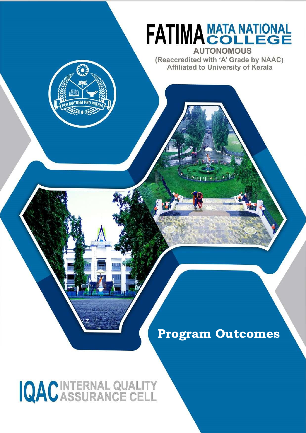

## **Program Outcomes**

# IQACINTERNAL QUALITY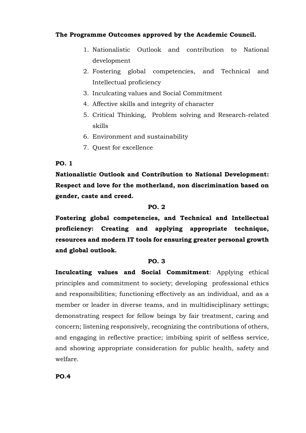### **The Programme Outcomes approved by the Academic Council.**

- 1. Nationalistic Outlook and contribution to National development
- 2. Fostering global competencies, and Technical and Intellectual proficiency
- 3. Inculcating values and Social Commitment
- 4. Affective skills and integrity of character
- 5. Critical Thinking, Problem solving and Research-related skills
- 6. Environment and sustainability
- 7. Quest for excellence

#### **PO. 1**

**Nationalistic Outlook and Contribution to National Development: Respect and love for the motherland, non discrimination based on gender, caste and creed.**

#### **PO. 2**

**Fostering global competencies, and Technical and Intellectual proficiency: Creating and applying appropriate technique, resources and modern IT tools for ensuring greater personal growth and global outlook.**

#### **PO. 3**

**Inculcating values and Social Commitment**: Applying ethical principles and commitment to society; developing professional ethics and responsibilities; functioning effectively as an individual, and as a member or leader in diverse teams, and in multidisciplinary settings; demonstrating respect for fellow beings by fair treatment, caring and concern; listening responsively, recognizing the contributions of others, and engaging in reflective practice; imbibing spirit of selfless service, and showing appropriate consideration for public health, safety and welfare.